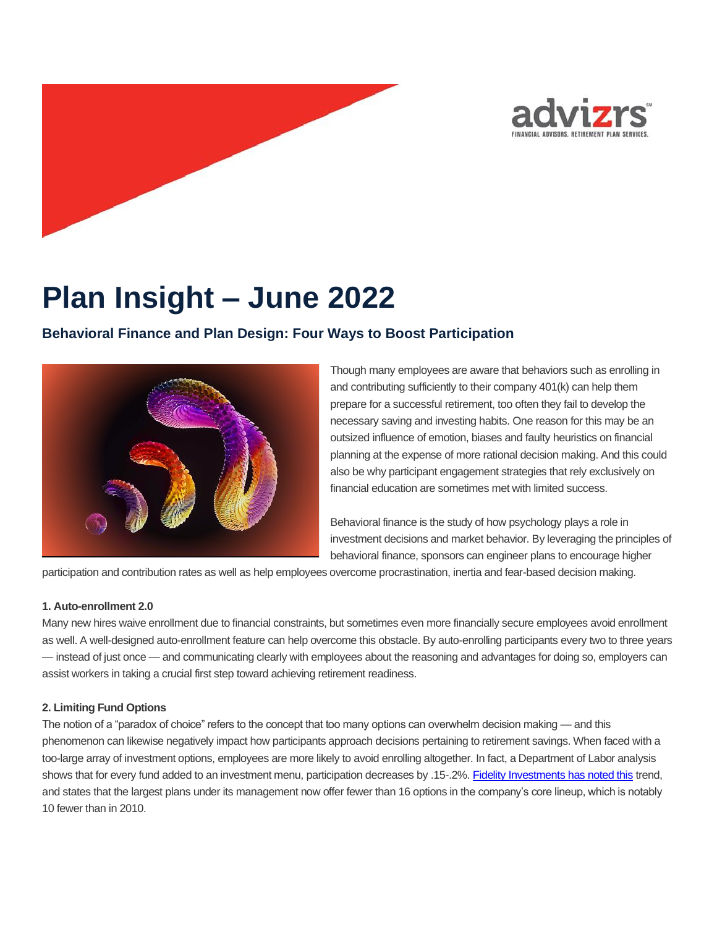

# **Plan Insight – June 2022**

# **Behavioral Finance and Plan Design: Four Ways to Boost Participation**



Though many employees are aware that behaviors such as enrolling in and contributing sufficiently to their company 401(k) can help them prepare for a successful retirement, too often they fail to develop the necessary saving and investing habits. One reason for this may be an outsized influence of emotion, biases and faulty heuristics on financial planning at the expense of more rational decision making. And this could also be why participant engagement strategies that rely exclusively on financial education are sometimes met with limited success.

Behavioral finance is the study of how psychology plays a role in investment decisions and market behavior. By leveraging the principles of behavioral finance, sponsors can engineer plans to encourage higher

participation and contribution rates as well as help employees overcome procrastination, inertia and fear-based decision making.

#### **1. Auto-enrollment 2.0**

Many new hires waive enrollment due to financial constraints, but sometimes even more financially secure employees avoid enrollment as well. A well-designed auto-enrollment feature can help overcome this obstacle. By auto-enrolling participants every two to three years — instead of just once — and communicating clearly with employees about the reasoning and advantages for doing so, employers can assist workers in taking a crucial first step toward achieving retirement readiness.

### **2. Limiting Fund Options**

The notion of a "paradox of choice" refers to the concept that too many options can overwhelm decision making — and this phenomenon can likewise negatively impact how participants approach decisions pertaining to retirement savings. When faced with a too-large array of investment options, employees are more likely to avoid enrolling altogether. In fact, a Department of Labor analysis shows that for every fund added to an investment menu, participation decreases by .15-.2%[. Fidelity Investments has noted this](https://www.shrm.org/resourcesandtools/hr-topics/benefits/pages/number-of-401k-funds-offered-to-plan-participants-shrinks.aspx) trend, and states that the largest plans under its management now offer fewer than 16 options in the company's core lineup, which is notably 10 fewer than in 2010.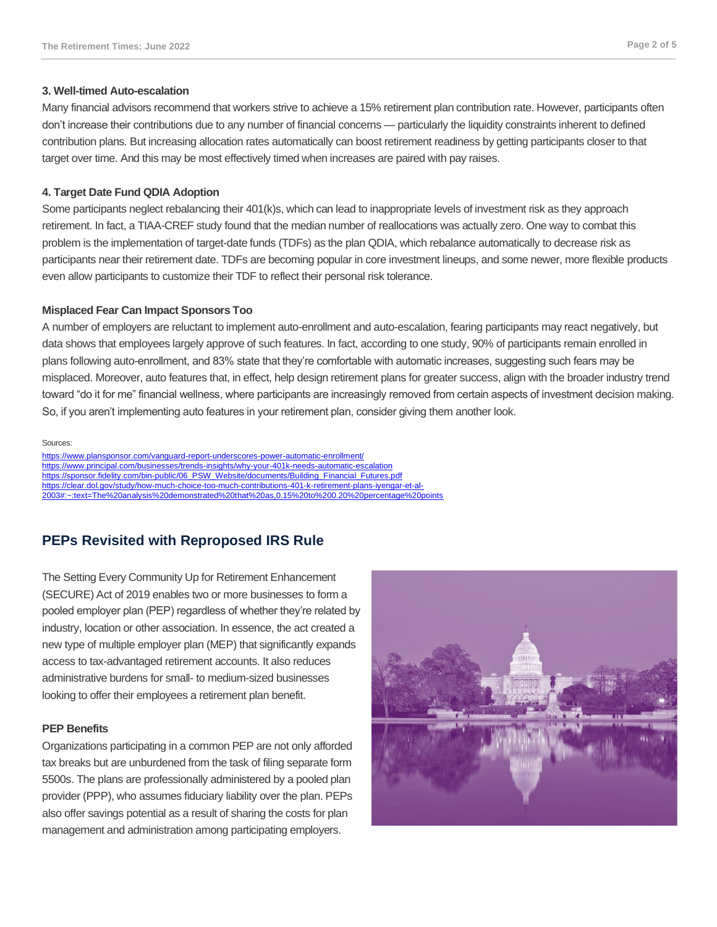#### **3. Well-timed Auto-escalation**

Many financial advisors recommend that workers strive to achieve a 15% retirement plan contribution rate. However, participants often don't increase their contributions due to any number of financial concerns — particularly the liquidity constraints inherent to defined contribution plans. But increasing allocation rates automatically can boost retirement readiness by getting participants closer to that target over time. And this may be most effectively timed when increases are paired with pay raises.

#### **4. Target Date Fund QDIA Adoption**

Some participants neglect rebalancing their 401(k)s, which can lead to inappropriate levels of investment risk as they approach retirement. In fact, a TIAA-CREF study found that the median number of reallocations was actually zero. One way to combat this problem is the implementation of target-date funds (TDFs) as the plan QDIA, which rebalance automatically to decrease risk as participants near their retirement date. TDFs are becoming popular in core investment lineups, and some newer, more flexible products even allow participants to customize their TDF to reflect their personal risk tolerance.

#### **Misplaced Fear Can Impact Sponsors Too**

A number of employers are reluctant to implement auto-enrollment and auto-escalation, fearing participants may react negatively, but data shows that employees largely approve of such features. In fact, according to one study, 90% of participants remain enrolled in plans following auto-enrollment, and 83% state that they're comfortable with automatic increases, suggesting such fears may be misplaced. Moreover, auto features that, in effect, help design retirement plans for greater success, align with the broader industry trend toward "do it for me" financial wellness, where participants are increasingly removed from certain aspects of investment decision making. So, if you aren't implementing auto features in your retirement plan, consider giving them another look.

#### Sources:

<https://www.plansponsor.com/vanguard-report-underscores-power-automatic-enrollment/> <https://www.principal.com/businesses/trends-insights/why-your-401k-needs-automatic-escalation> [https://sponsor.fidelity.com/bin-public/06\\_PSW\\_Website/documents/Building\\_Financial\\_Futures.pdf](https://sponsor.fidelity.com/bin-public/06_PSW_Website/documents/Building_Financial_Futures.pdf) [https://clear.dol.gov/study/how-much-choice-too-much-contributions-401-k-retirement-plans-iyengar-et-al-](https://clear.dol.gov/study/how-much-choice-too-much-contributions-401-k-retirement-plans-iyengar-et-al-2003#:~:text=The%20analysis%20demonstrated%20that%20as,0.15%20to%200.20%20percentage%20points)[2003#:~:text=The%20analysis%20demonstrated%20that%20as,0.15%20to%200.20%20percentage%20points](https://clear.dol.gov/study/how-much-choice-too-much-contributions-401-k-retirement-plans-iyengar-et-al-2003#:~:text=The%20analysis%20demonstrated%20that%20as,0.15%20to%200.20%20percentage%20points)

# **PEPs Revisited with Reproposed IRS Rule**

The Setting Every Community Up for Retirement Enhancement (SECURE) Act of 2019 enables two or more businesses to form a pooled employer plan (PEP) regardless of whether they're related by industry, location or other association. In essence, the act created a new type of multiple employer plan (MEP) that significantly expands access to tax-advantaged retirement accounts. It also reduces administrative burdens for small- to medium-sized businesses looking to offer their employees a retirement plan benefit.

#### **PEP Benefits**

Organizations participating in a common PEP are not only afforded tax breaks but are unburdened from the task of filing separate form 5500s. The plans are professionally administered by a pooled plan provider (PPP), who assumes fiduciary liability over the plan. PEPs also offer savings potential as a result of sharing the costs for plan management and administration among participating employers.

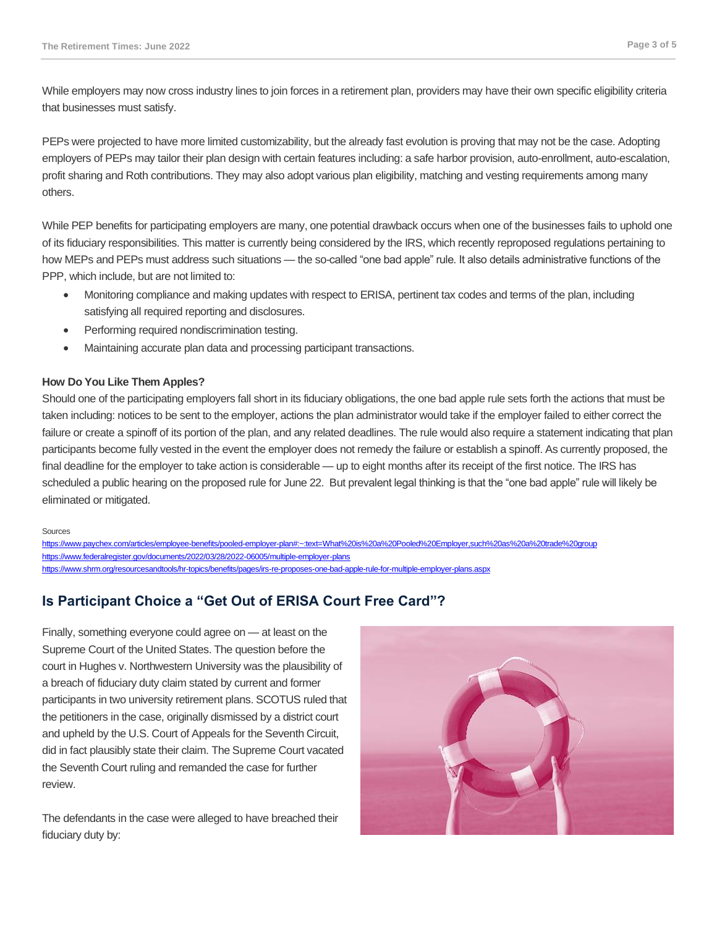While employers may now cross industry lines to join forces in a retirement plan, providers may have their own specific eligibility criteria that businesses must satisfy.

PEPs were projected to have more limited customizability, but the already fast evolution is proving that may not be the case. Adopting employers of PEPs may tailor their plan design with certain features including: a safe harbor provision, auto-enrollment, auto-escalation, profit sharing and Roth contributions. They may also adopt various plan eligibility, matching and vesting requirements among many others.

While PEP benefits for participating employers are many, one potential drawback occurs when one of the businesses fails to uphold one of its fiduciary responsibilities. This matter is currently being considered by the IRS, which recently reproposed regulations pertaining to how MEPs and PEPs must address such situations — the so-called "one bad apple" rule. It also details administrative functions of the PPP, which include, but are not limited to:

- Monitoring compliance and making updates with respect to ERISA, pertinent tax codes and terms of the plan, including satisfying all required reporting and disclosures.
- Performing required nondiscrimination testing.
- Maintaining accurate plan data and processing participant transactions.

#### **How Do You Like Them Apples?**

Should one of the participating employers fall short in its fiduciary obligations, the one bad apple rule sets forth the actions that must be taken including: notices to be sent to the employer, actions the plan administrator would take if the employer failed to either correct the failure or create a spinoff of its portion of the plan, and any related deadlines. The rule would also require a statement indicating that plan participants become fully vested in the event the employer does not remedy the failure or establish a spinoff. As currently proposed, the final deadline for the employer to take action is considerable — up to eight months after its receipt of the first notice. The IRS has scheduled a public hearing on the proposed rule for June 22. But prevalent legal thinking is that the "one bad apple" rule will likely be eliminated or mitigated.

#### Sources

https://www.paychex.com/articles/employee-benefits/pooled-employer-plan#:~:text=What%20is%20a%20Pooled%20Employer.such%20as%20a%20trade%20group <https://www.federalregister.gov/documents/2022/03/28/2022-06005/multiple-employer-plans> <https://www.shrm.org/resourcesandtools/hr-topics/benefits/pages/irs-re-proposes-one-bad-apple-rule-for-multiple-employer-plans.aspx>

# **Is Participant Choice a "Get Out of ERISA Court Free Card"?**

Finally, something everyone could agree on — at least on the Supreme Court of the United States. The question before the court in Hughes v. Northwestern University was the plausibility of a breach of fiduciary duty claim stated by current and former participants in two university retirement plans. SCOTUS ruled that the petitioners in the case, originally dismissed by a district court and upheld by the U.S. Court of Appeals for the Seventh Circuit, did in fact plausibly state their claim. The Supreme Court vacated the Seventh Court ruling and remanded the case for further review.

The defendants in the case were alleged to have breached their fiduciary duty by:

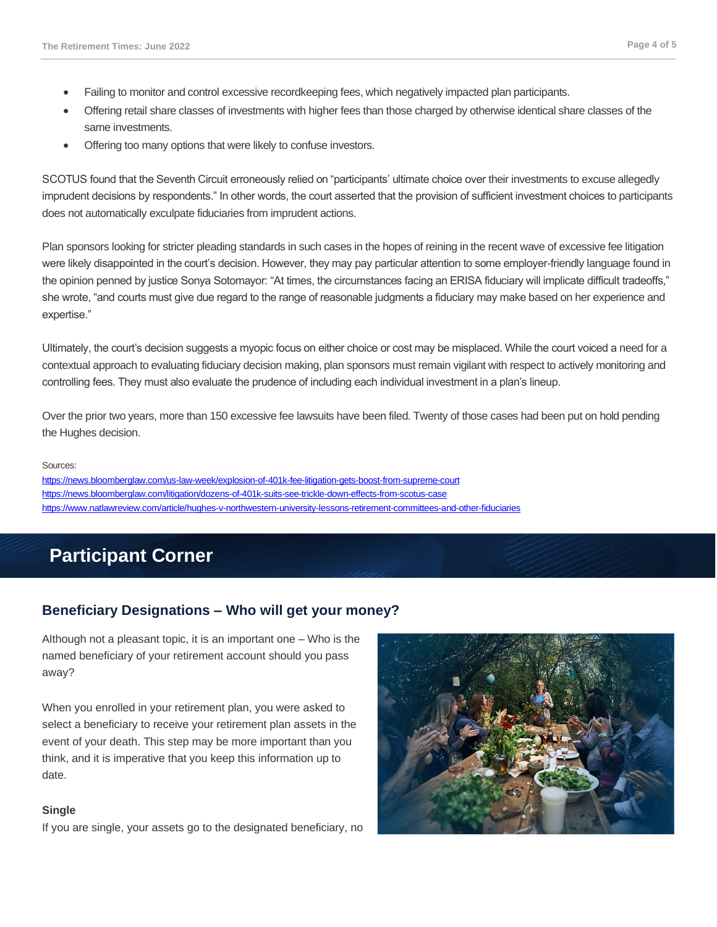- Failing to monitor and control excessive recordkeeping fees, which negatively impacted plan participants.
- Offering retail share classes of investments with higher fees than those charged by otherwise identical share classes of the same investments.
- Offering too many options that were likely to confuse investors.

SCOTUS found that the Seventh Circuit erroneously relied on "participants' ultimate choice over their investments to excuse allegedly imprudent decisions by respondents." In other words, the court asserted that the provision of sufficient investment choices to participants does not automatically exculpate fiduciaries from imprudent actions.

Plan sponsors looking for stricter pleading standards in such cases in the hopes of reining in the recent wave of excessive fee litigation were likely disappointed in the court's decision. However, they may pay particular attention to some employer-friendly language found in the opinion penned by justice Sonya Sotomayor: "At times, the circumstances facing an ERISA fiduciary will implicate difficult tradeoffs," she wrote, "and courts must give due regard to the range of reasonable judgments a fiduciary may make based on her experience and expertise."

Ultimately, the court's decision suggests a myopic focus on either choice or cost may be misplaced. While the court voiced a need for a contextual approach to evaluating fiduciary decision making, plan sponsors must remain vigilant with respect to actively monitoring and controlling fees. They must also evaluate the prudence of including each individual investment in a plan's lineup.

Over the prior two years, more than 150 excessive fee lawsuits have been filed. Twenty of those cases had been put on hold pending the Hughes decision.

#### Sources:

<https://news.bloomberglaw.com/us-law-week/explosion-of-401k-fee-litigation-gets-boost-from-supreme-court> <https://news.bloomberglaw.com/litigation/dozens-of-401k-suits-see-trickle-down-effects-from-scotus-case> <https://www.natlawreview.com/article/hughes-v-northwestern-university-lessons-retirement-committees-and-other-fiduciaries>

# **Participant Corner**

## **Beneficiary Designations – Who will get your money?**

Although not a pleasant topic, it is an important one – Who is the named beneficiary of your retirement account should you pass away?

When you enrolled in your retirement plan, you were asked to select a beneficiary to receive your retirement plan assets in the event of your death. This step may be more important than you think, and it is imperative that you keep this information up to date.

#### **Single**

If you are single, your assets go to the designated beneficiary, no